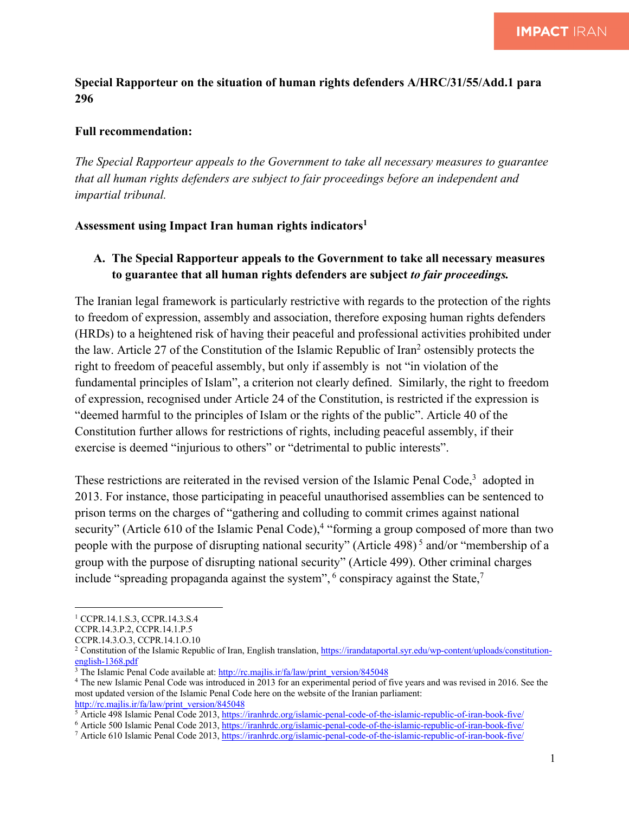### **Special Rapporteur on the situation of human rights defenders A/HRC/31/55/Add.1 para 296**

#### **Full recommendation:**

*The Special Rapporteur appeals to the Government to take all necessary measures to guarantee that all human rights defenders are subject to fair proceedings before an independent and impartial tribunal.* 

#### **Assessment using Impact Iran human rights indicators1**

# **A. The Special Rapporteur appeals to the Government to take all necessary measures to guarantee that all human rights defenders are subject** *to fair proceedings.*

The Iranian legal framework is particularly restrictive with regards to the protection of the rights to freedom of expression, assembly and association, therefore exposing human rights defenders (HRDs) to a heightened risk of having their peaceful and professional activities prohibited under the law. Article 27 of the Constitution of the Islamic Republic of Iran<sup>2</sup> ostensibly protects the right to freedom of peaceful assembly, but only if assembly is not "in violation of the fundamental principles of Islam", a criterion not clearly defined. Similarly, the right to freedom of expression, recognised under Article 24 of the Constitution, is restricted if the expression is "deemed harmful to the principles of Islam or the rights of the public". Article 40 of the Constitution further allows for restrictions of rights, including peaceful assembly, if their exercise is deemed "injurious to others" or "detrimental to public interests".

These restrictions are reiterated in the revised version of the Islamic Penal Code, $3$  adopted in 2013. For instance, those participating in peaceful unauthorised assemblies can be sentenced to prison terms on the charges of "gathering and colluding to commit crimes against national security" (Article 610 of the Islamic Penal Code),<sup>4</sup> "forming a group composed of more than two people with the purpose of disrupting national security" (Article 498) <sup>5</sup> and/or "membership of a group with the purpose of disrupting national security" (Article 499). Other criminal charges include "spreading propaganda against the system",  $6$  conspiracy against the State, $7$ 

<sup>1</sup> CCPR.14.1.S.3, CCPR.14.3.S.4

CCPR.14.3.P.2, CCPR.14.1.P.5

CCPR.14.3.O.3, CCPR.14.1.O.10

<sup>&</sup>lt;sup>2</sup> Constitution of the Islamic Republic of Iran, English translation, https://irandataportal.syr.edu/wp-content/uploads/constitutionenglish-1368.pdf

<sup>&</sup>lt;sup>3</sup> The Islamic Penal Code available at: http://rc.majlis.ir/fa/law/print\_version/845048

<sup>&</sup>lt;sup>4</sup> The new Islamic Penal Code was introduced in 2013 for an experimental period of five years and was revised in 2016. See the most updated version of the Islamic Penal Code here on the website of the Iranian parliament: http://rc.majlis.ir/fa/law/print\_version/845048

 $\frac{1}{2}$  Article 498 Islamic Penal Code 2013, https://iranhrdc.org/islamic-penal-code-of-the-islamic-republic-of-iran-book-five/

<sup>6</sup> Article 500 Islamic Penal Code 2013, https://iranhrdc.org/islamic-penal-code-of-the-islamic-republic-of-iran-book-five/

<sup>7</sup> Article 610 Islamic Penal Code 2013, https://iranhrdc.org/islamic-penal-code-of-the-islamic-republic-of-iran-book-five/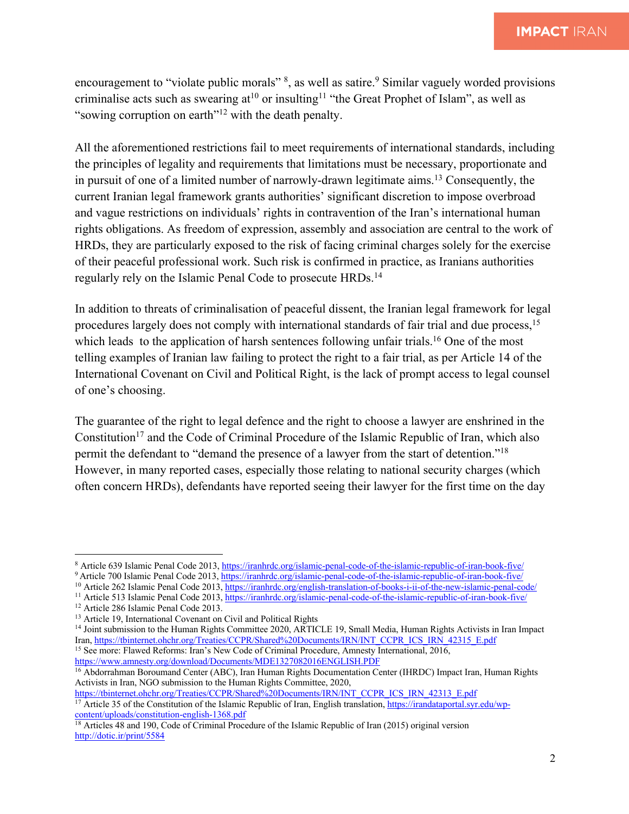encouragement to "violate public morals"  $\frac{8}{3}$ , as well as satire. Similar vaguely worded provisions criminalise acts such as swearing  $at^{10}$  or insulting<sup>11</sup> "the Great Prophet of Islam", as well as "sowing corruption on earth"<sup>12</sup> with the death penalty.

All the aforementioned restrictions fail to meet requirements of international standards, including the principles of legality and requirements that limitations must be necessary, proportionate and in pursuit of one of a limited number of narrowly-drawn legitimate aims.<sup>13</sup> Consequently, the current Iranian legal framework grants authorities' significant discretion to impose overbroad and vague restrictions on individuals' rights in contravention of the Iran's international human rights obligations. As freedom of expression, assembly and association are central to the work of HRDs, they are particularly exposed to the risk of facing criminal charges solely for the exercise of their peaceful professional work. Such risk is confirmed in practice, as Iranians authorities regularly rely on the Islamic Penal Code to prosecute HRDs.14

In addition to threats of criminalisation of peaceful dissent, the Iranian legal framework for legal procedures largely does not comply with international standards of fair trial and due process,<sup>15</sup> which leads to the application of harsh sentences following unfair trials.<sup>16</sup> One of the most telling examples of Iranian law failing to protect the right to a fair trial, as per Article 14 of the International Covenant on Civil and Political Right, is the lack of prompt access to legal counsel of one's choosing.

The guarantee of the right to legal defence and the right to choose a lawyer are enshrined in the Constitution<sup>17</sup> and the Code of Criminal Procedure of the Islamic Republic of Iran, which also permit the defendant to "demand the presence of a lawyer from the start of detention."18 However, in many reported cases, especially those relating to national security charges (which often concern HRDs), defendants have reported seeing their lawyer for the first time on the day

https://www.amnesty.org/download/Documents/MDE1327082016ENGLISH.PDF

<sup>&</sup>lt;sup>8</sup> Article 639 Islamic Penal Code 2013, https://iranhrdc.org/islamic-penal-code-of-the-islamic-republic-of-iran-book-five/

<sup>&</sup>lt;sup>9</sup> Article 700 Islamic Penal Code 2013, https://iranhrdc.org/islamic-penal-code-of-the-islamic-republic-of-iran-book-five/ <sup>10</sup> Article 262 Islamic Penal Code 2013, https://iranhrdc.org/english-translation-of-books-i-ii-of-the-new-islamic-penal-code/

<sup>&</sup>lt;sup>11</sup> Article 513 Islamic Penal Code 2013, https://iranhrdc.org/islamic-penal-code-of-the-islamic-republic-of-iran-book-five/

<sup>&</sup>lt;sup>12</sup> Article 286 Islamic Penal Code 2013.<br><sup>13</sup> Article 19, International Covenant on Civil and Political Rights

<sup>&</sup>lt;sup>14</sup> Joint submission to the Human Rights Committee 2020, ARTICLE 19, Small Media, Human Rights Activists in Iran Impact Iran, https://tbinternet.ohchr.org/Treaties/CCPR/Shared%20Documents/IRN/INT\_CCPR\_ICS\_IRN\_42315\_E.pdf <sup>15</sup> See more: Flawed Reforms: Iran's New Code of Criminal Procedure, Amnesty International, 2016,

<sup>16</sup> Abdorrahman Boroumand Center (ABC), Iran Human Rights Documentation Center (IHRDC) Impact Iran, Human Rights Activists in Iran, NGO submission to the Human Rights Committee, 2020,<br>https://tbinternet.ohchr.org/Treaties/CCPR/Shared%20Documents/IRN/INT CCPR ICS IRN 42313 E.pdf

 $\frac{17}{17}$  Article 35 of the Constitution of the Islamic Republic of Iran, English translation, https://irandataportal.syr.edu/wpcontent/uploads/constitution-english-1368.pdf

<sup>&</sup>lt;sup>18</sup> Articles 48 and 190, Code of Criminal Procedure of the Islamic Republic of Iran (2015) original version http://dotic.ir/print/5584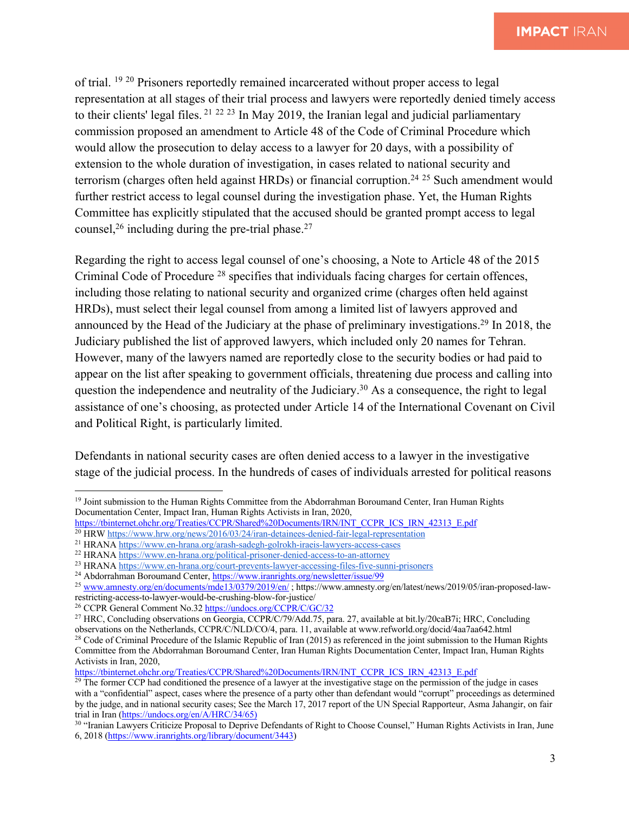of trial. 19 <sup>20</sup> Prisoners reportedly remained incarcerated without proper access to legal representation at all stages of their trial process and lawyers were reportedly denied timely access to their clients' legal files. <sup>21</sup> <sup>22</sup> <sup>23</sup> In May 2019, the Iranian legal and judicial parliamentary commission proposed an amendment to Article 48 of the Code of Criminal Procedure which would allow the prosecution to delay access to a lawyer for 20 days, with a possibility of extension to the whole duration of investigation, in cases related to national security and terrorism (charges often held against HRDs) or financial corruption.<sup>24 25</sup> Such amendment would further restrict access to legal counsel during the investigation phase. Yet, the Human Rights Committee has explicitly stipulated that the accused should be granted prompt access to legal counsel,<sup>26</sup> including during the pre-trial phase.<sup>27</sup>

Regarding the right to access legal counsel of one's choosing, a Note to Article 48 of the 2015 Criminal Code of Procedure 28 specifies that individuals facing charges for certain offences, including those relating to national security and organized crime (charges often held against HRDs), must select their legal counsel from among a limited list of lawyers approved and announced by the Head of the Judiciary at the phase of preliminary investigations.29 In 2018, the Judiciary published the list of approved lawyers, which included only 20 names for Tehran. However, many of the lawyers named are reportedly close to the security bodies or had paid to appear on the list after speaking to government officials, threatening due process and calling into question the independence and neutrality of the Judiciary.<sup>30</sup> As a consequence, the right to legal assistance of one's choosing, as protected under Article 14 of the International Covenant on Civil and Political Right, is particularly limited.

Defendants in national security cases are often denied access to a lawyer in the investigative stage of the judicial process. In the hundreds of cases of individuals arrested for political reasons

<sup>&</sup>lt;sup>19</sup> Joint submission to the Human Rights Committee from the Abdorrahman Boroumand Center, Iran Human Rights Documentation Center, Impact Iran, Human Rights Activists in Iran, 2020,

https://tbinternet.ohchr.org/Treaties/CCPR/Shared%20Documents/IRN/INT\_CCPR\_ICS\_IRN\_42313\_E.pdf

<sup>20</sup> HRW https://www.hrw.org/news/2016/03/24/iran-detainees-denied-fair-legal-representation

<sup>21</sup> HRANA https://www.en-hrana.org/arash-sadegh-golrokh-iraeis-lawyers-access-cases

<sup>22</sup> HRANA https://www.en-hrana.org/political-prisoner-denied-access-to-an-attorney

<sup>&</sup>lt;sup>23</sup> HRANA https://www.en-hrana.org/court-prevents-lawyer-accessing-files-five-sunni-prisoners

<sup>&</sup>lt;sup>24</sup> Abdorrahman Boroumand Center, https://www.iranrights.org/newsletter/issue/99

<sup>&</sup>lt;sup>25</sup> www.amnesty.org/en/documents/mde13/0379/2019/en/; https://www.amnesty.org/en/latest/news/2019/05/iran-proposed-lawrestricting-access-to-lawyer-would-be-crushing-blow-for-justice/

<sup>&</sup>lt;sup>26</sup> CCPR General Comment No.32 https://undocs.org/CCPR/C/GC/32

<sup>27</sup> HRC, Concluding observations on Georgia, CCPR/C/79/Add.75, para. 27, available at bit.ly/20caB7i; HRC, Concluding observations on the Netherlands, CCPR/C/NLD/CO/4, para. 11, available at www.refworld.org/docid/4aa7aa642.html

<sup>&</sup>lt;sup>28</sup> Code of Criminal Procedure of the Islamic Republic of Iran (2015) as referenced in the joint submission to the Human Rights Committee from the Abdorrahman Boroumand Center, Iran Human Rights Documentation Center, Impact Iran, Human Rights Activists in Iran, 2020,

https://tbinternet.ohchr.org/Treaties/CCPR/Shared%20Documents/IRN/INT\_CCPR\_ICS\_IRN\_42313\_E.pdf

<sup>&</sup>lt;sup>29</sup> The former CCP had conditioned the presence of a lawyer at the investigative stage on the permission of the judge in cases with a "confidential" aspect, cases where the presence of a party other than defendant would "corrupt" proceedings as determined by the judge, and in national security cases; See the March 17, 2017 report of the UN Special Rapporteur, Asma Jahangir, on fair trial in Iran (https://undocs.org/en/A/HRC/34/65)

<sup>&</sup>lt;sup>30</sup> "Iranian Lawyers Criticize Proposal to Deprive Defendants of Right to Choose Counsel," Human Rights Activists in Iran, June 6, 2018 (https://www.iranrights.org/library/document/3443)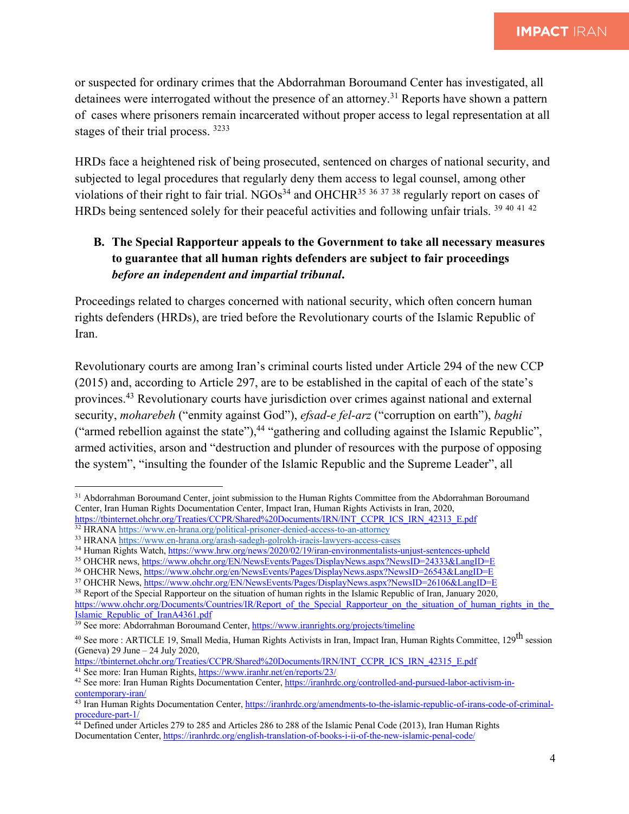or suspected for ordinary crimes that the Abdorrahman Boroumand Center has investigated, all detainees were interrogated without the presence of an attorney.<sup>31</sup> Reports have shown a pattern of cases where prisoners remain incarcerated without proper access to legal representation at all stages of their trial process. 3233

HRDs face a heightened risk of being prosecuted, sentenced on charges of national security, and subjected to legal procedures that regularly deny them access to legal counsel, among other violations of their right to fair trial. NGOs<sup>34</sup> and OHCHR<sup>35 36 37 38</sup> regularly report on cases of HRDs being sentenced solely for their peaceful activities and following unfair trials. <sup>39 40 41 42</sup>

# **B. The Special Rapporteur appeals to the Government to take all necessary measures to guarantee that all human rights defenders are subject to fair proceedings** *before an independent and impartial tribunal***.**

Proceedings related to charges concerned with national security, which often concern human rights defenders (HRDs), are tried before the Revolutionary courts of the Islamic Republic of Iran.

Revolutionary courts are among Iran's criminal courts listed under Article 294 of the new CCP (2015) and, according to Article 297, are to be established in the capital of each of the state's provinces.43 Revolutionary courts have jurisdiction over crimes against national and external security, *moharebeh* ("enmity against God"), *efsad-e fel-arz* ("corruption on earth"), *baghi*  ("armed rebellion against the state"),<sup>44</sup> "gathering and colluding against the Islamic Republic", armed activities, arson and "destruction and plunder of resources with the purpose of opposing the system", "insulting the founder of the Islamic Republic and the Supreme Leader", all

Islamic\_Republic\_of\_IranA4361.pdf

<sup>41</sup> See more: Iran Human Rights, https://www.iranhr.net/en/reports/23/

<sup>&</sup>lt;sup>31</sup> Abdorrahman Boroumand Center, joint submission to the Human Rights Committee from the Abdorrahman Boroumand Center, Iran Human Rights Documentation Center, Impact Iran, Human Rights Activists in Iran, 2020,

https://tbinternet.ohchr.org/Treaties/CCPR/Shared%20Documents/IRN/INT\_CCPR\_ICS\_IRN\_42313\_E.pdf 32 HRANA https://www.en-hrana.org/political-prisoner-denied-access-to-an-attorney

<sup>33</sup> HRANA https://www.en-hrana.org/arash-sadegh-golrokh-iraeis-lawyers-access-cases

<sup>34</sup> Human Rights Watch, https://www.hrw.org/news/2020/02/19/iran-environmentalists-unjust-sentences-upheld

<sup>&</sup>lt;sup>35</sup> OHCHR news, https://www.ohchr.org/EN/NewsEvents/Pages/DisplayNews.aspx?NewsID=24333&LangID=E

<sup>36</sup> OHCHR News, https://www.ohchr.org/en/NewsEvents/Pages/DisplayNews.aspx?NewsID=26543&LangID=E

<sup>&</sup>lt;sup>37</sup> OHCHR News, https://www.ohchr.org/EN/NewsEvents/Pages/DisplayNews.aspx?NewsID=26106&LangID=E

<sup>&</sup>lt;sup>38</sup> Report of the Special Rapporteur on the situation of human rights in the Islamic Republic of Iran, January 2020, https://www.ohchr.org/Documents/Countries/IR/Report\_of\_the\_Special\_Rapporteur\_on\_the\_situation\_of\_human\_rights\_in\_the\_

<sup>&</sup>lt;sup>39</sup> See more: Abdorrahman Boroumand Center, https://www.iranrights.org/projects/timeline

<sup>&</sup>lt;sup>40</sup> See more : ARTICLE 19, Small Media, Human Rights Activists in Iran, Impact Iran, Human Rights Committee, 129<sup>th</sup> session (Geneva) 29 June – 24 July 2020,

https://tbinternet.ohchr.org/Treaties/CCPR/Shared%20Documents/IRN/INT\_CCPR\_ICS\_IRN\_42315\_E.pdf

<sup>42</sup> See more: Iran Human Rights Documentation Center, https://iranhrdc.org/controlled-and-pursued-labor-activism-incontemporary-iran/

<sup>&</sup>lt;sup>43</sup> Iran Human Rights Documentation Center, https://iranhrdc.org/amendments-to-the-islamic-republic-of-irans-code-of-criminalprocedure-part-1/

<sup>&</sup>lt;sup>44</sup> Defined under Articles 279 to 285 and Articles 286 to 288 of the Islamic Penal Code (2013), Iran Human Rights Documentation Center, https://iranhrdc.org/english-translation-of-books-i-ii-of-the-new-islamic-penal-code/